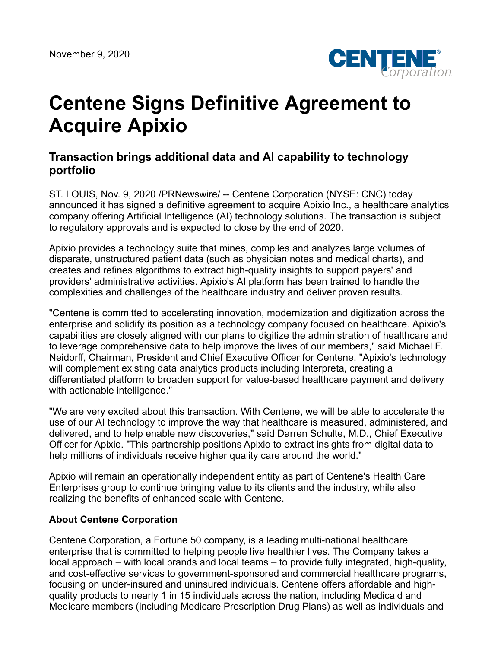

## **Centene Signs Definitive Agreement to Acquire Apixio**

## **Transaction brings additional data and AI capability to technology portfolio**

ST. LOUIS, Nov. 9, 2020 /PRNewswire/ -- Centene Corporation (NYSE: CNC) today announced it has signed a definitive agreement to acquire Apixio Inc., a healthcare analytics company offering Artificial Intelligence (AI) technology solutions. The transaction is subject to regulatory approvals and is expected to close by the end of 2020.

Apixio provides a technology suite that mines, compiles and analyzes large volumes of disparate, unstructured patient data (such as physician notes and medical charts), and creates and refines algorithms to extract high-quality insights to support payers' and providers' administrative activities. Apixio's AI platform has been trained to handle the complexities and challenges of the healthcare industry and deliver proven results.

"Centene is committed to accelerating innovation, modernization and digitization across the enterprise and solidify its position as a technology company focused on healthcare. Apixio's capabilities are closely aligned with our plans to digitize the administration of healthcare and to leverage comprehensive data to help improve the lives of our members," said Michael F. Neidorff, Chairman, President and Chief Executive Officer for Centene. "Apixio's technology will complement existing data analytics products including Interpreta, creating a differentiated platform to broaden support for value-based healthcare payment and delivery with actionable intelligence."

"We are very excited about this transaction. With Centene, we will be able to accelerate the use of our AI technology to improve the way that healthcare is measured, administered, and delivered, and to help enable new discoveries," said Darren Schulte, M.D., Chief Executive Officer for Apixio. "This partnership positions Apixio to extract insights from digital data to help millions of individuals receive higher quality care around the world."

Apixio will remain an operationally independent entity as part of Centene's Health Care Enterprises group to continue bringing value to its clients and the industry, while also realizing the benefits of enhanced scale with Centene.

## **About Centene Corporation**

Centene Corporation, a Fortune 50 company, is a leading multi-national healthcare enterprise that is committed to helping people live healthier lives. The Company takes a local approach – with local brands and local teams – to provide fully integrated, high-quality, and cost-effective services to government-sponsored and commercial healthcare programs, focusing on under-insured and uninsured individuals. Centene offers affordable and highquality products to nearly 1 in 15 individuals across the nation, including Medicaid and Medicare members (including Medicare Prescription Drug Plans) as well as individuals and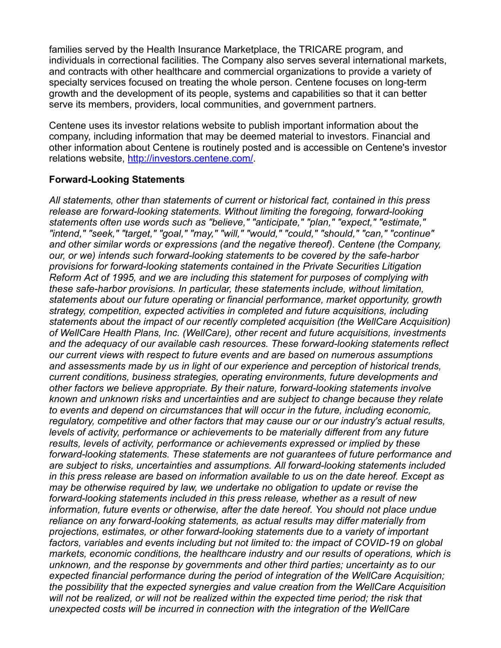families served by the Health Insurance Marketplace, the TRICARE program, and individuals in correctional facilities. The Company also serves several international markets, and contracts with other healthcare and commercial organizations to provide a variety of specialty services focused on treating the whole person. Centene focuses on long-term growth and the development of its people, systems and capabilities so that it can better serve its members, providers, local communities, and government partners.

Centene uses its investor relations website to publish important information about the company, including information that may be deemed material to investors. Financial and other information about Centene is routinely posted and is accessible on Centene's investor relations website, [http://investors.centene.com/.](http://investors.centene.com/)

## **Forward-Looking Statements**

*All statements, other than statements of current or historical fact, contained in this press release are forward-looking statements. Without limiting the foregoing, forward-looking statements often use words such as "believe," "anticipate," "plan," "expect," "estimate," "intend," "seek," "target," "goal," "may," "will," "would," "could," "should," "can," "continue" and other similar words or expressions (and the negative thereof). Centene (the Company, our, or we) intends such forward-looking statements to be covered by the safe-harbor provisions for forward-looking statements contained in the Private Securities Litigation Reform Act of 1995, and we are including this statement for purposes of complying with these safe-harbor provisions. In particular, these statements include, without limitation, statements about our future operating or financial performance, market opportunity, growth strategy, competition, expected activities in completed and future acquisitions, including statements about the impact of our recently completed acquisition (the WellCare Acquisition) of WellCare Health Plans, Inc. (WellCare), other recent and future acquisitions, investments and the adequacy of our available cash resources. These forward-looking statements reflect our current views with respect to future events and are based on numerous assumptions and assessments made by us in light of our experience and perception of historical trends, current conditions, business strategies, operating environments, future developments and other factors we believe appropriate. By their nature, forward-looking statements involve known and unknown risks and uncertainties and are subject to change because they relate to events and depend on circumstances that will occur in the future, including economic, regulatory, competitive and other factors that may cause our or our industry's actual results, levels of activity, performance or achievements to be materially different from any future results, levels of activity, performance or achievements expressed or implied by these forward-looking statements. These statements are not guarantees of future performance and are subject to risks, uncertainties and assumptions. All forward-looking statements included in this press release are based on information available to us on the date hereof. Except as may be otherwise required by law, we undertake no obligation to update or revise the forward-looking statements included in this press release, whether as a result of new information, future events or otherwise, after the date hereof. You should not place undue reliance on any forward-looking statements, as actual results may differ materially from projections, estimates, or other forward-looking statements due to a variety of important factors, variables and events including but not limited to: the impact of COVID-19 on global markets, economic conditions, the healthcare industry and our results of operations, which is unknown, and the response by governments and other third parties; uncertainty as to our expected financial performance during the period of integration of the WellCare Acquisition; the possibility that the expected synergies and value creation from the WellCare Acquisition will not be realized, or will not be realized within the expected time period; the risk that unexpected costs will be incurred in connection with the integration of the WellCare*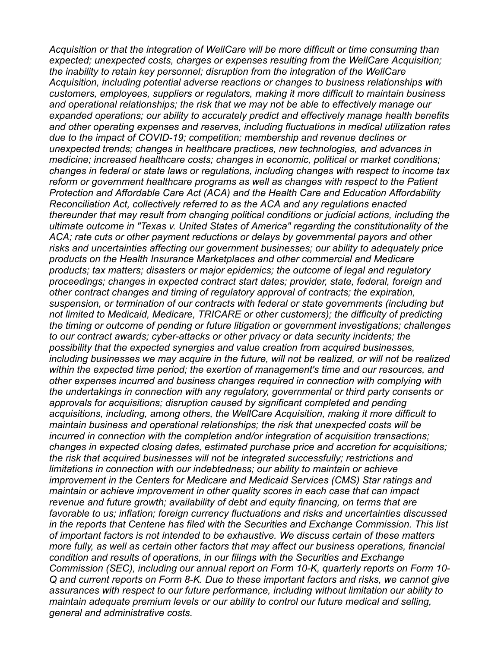*Acquisition or that the integration of WellCare will be more difficult or time consuming than expected; unexpected costs, charges or expenses resulting from the WellCare Acquisition; the inability to retain key personnel; disruption from the integration of the WellCare Acquisition, including potential adverse reactions or changes to business relationships with customers, employees, suppliers or regulators, making it more difficult to maintain business and operational relationships; the risk that we may not be able to effectively manage our expanded operations; our ability to accurately predict and effectively manage health benefits and other operating expenses and reserves, including fluctuations in medical utilization rates due to the impact of COVID-19; competition; membership and revenue declines or unexpected trends; changes in healthcare practices, new technologies, and advances in medicine; increased healthcare costs; changes in economic, political or market conditions; changes in federal or state laws or regulations, including changes with respect to income tax reform or government healthcare programs as well as changes with respect to the Patient Protection and Affordable Care Act (ACA) and the Health Care and Education Affordability Reconciliation Act, collectively referred to as the ACA and any regulations enacted thereunder that may result from changing political conditions or judicial actions, including the ultimate outcome in "Texas v. United States of America" regarding the constitutionality of the ACA; rate cuts or other payment reductions or delays by governmental payors and other risks and uncertainties affecting our government businesses; our ability to adequately price products on the Health Insurance Marketplaces and other commercial and Medicare products; tax matters; disasters or major epidemics; the outcome of legal and regulatory proceedings; changes in expected contract start dates; provider, state, federal, foreign and other contract changes and timing of regulatory approval of contracts; the expiration, suspension, or termination of our contracts with federal or state governments (including but not limited to Medicaid, Medicare, TRICARE or other customers); the difficulty of predicting the timing or outcome of pending or future litigation or government investigations; challenges to our contract awards; cyber-attacks or other privacy or data security incidents; the possibility that the expected synergies and value creation from acquired businesses, including businesses we may acquire in the future, will not be realized, or will not be realized within the expected time period; the exertion of management's time and our resources, and other expenses incurred and business changes required in connection with complying with the undertakings in connection with any regulatory, governmental or third party consents or approvals for acquisitions; disruption caused by significant completed and pending acquisitions, including, among others, the WellCare Acquisition, making it more difficult to maintain business and operational relationships; the risk that unexpected costs will be incurred in connection with the completion and/or integration of acquisition transactions; changes in expected closing dates, estimated purchase price and accretion for acquisitions; the risk that acquired businesses will not be integrated successfully; restrictions and limitations in connection with our indebtedness; our ability to maintain or achieve improvement in the Centers for Medicare and Medicaid Services (CMS) Star ratings and maintain or achieve improvement in other quality scores in each case that can impact revenue and future growth; availability of debt and equity financing, on terms that are favorable to us; inflation; foreign currency fluctuations and risks and uncertainties discussed in the reports that Centene has filed with the Securities and Exchange Commission. This list of important factors is not intended to be exhaustive. We discuss certain of these matters more fully, as well as certain other factors that may affect our business operations, financial condition and results of operations, in our filings with the Securities and Exchange Commission (SEC), including our annual report on Form 10-K, quarterly reports on Form 10- Q and current reports on Form 8-K. Due to these important factors and risks, we cannot give assurances with respect to our future performance, including without limitation our ability to maintain adequate premium levels or our ability to control our future medical and selling, general and administrative costs.*